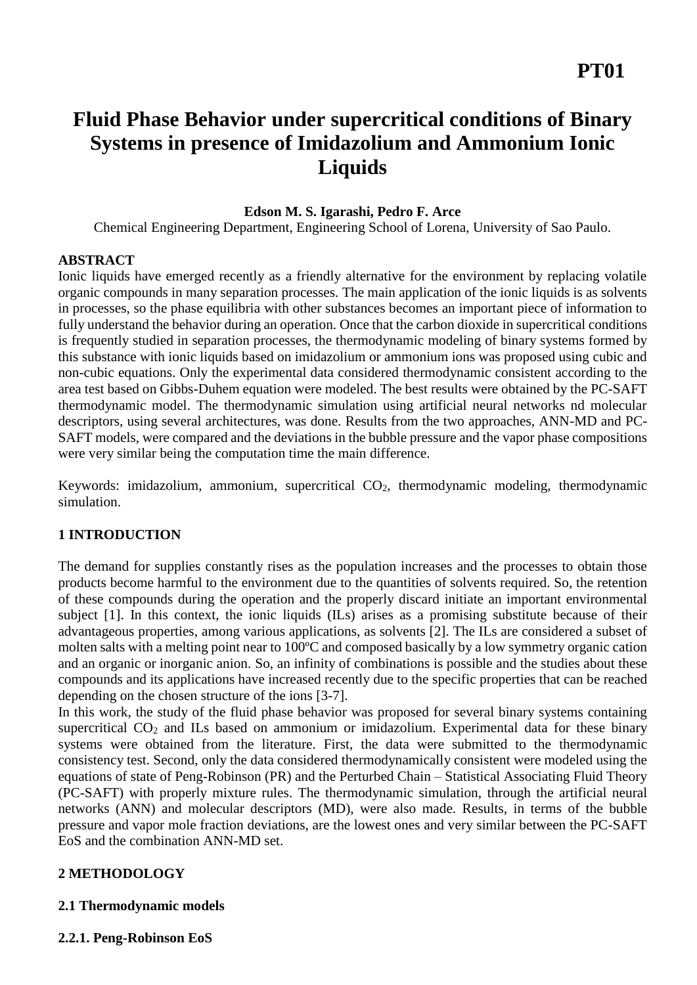# **Fluid Phase Behavior under supercritical conditions of Binary Systems in presence of Imidazolium and Ammonium Ionic Liquids**

# **Edson M. S. Igarashi, Pedro F. Arce**

Chemical Engineering Department, Engineering School of Lorena, University of Sao Paulo.

# **ABSTRACT**

Ionic liquids have emerged recently as a friendly alternative for the environment by replacing volatile organic compounds in many separation processes. The main application of the ionic liquids is as solvents in processes, so the phase equilibria with other substances becomes an important piece of information to fully understand the behavior during an operation. Once that the carbon dioxide in supercritical conditions is frequently studied in separation processes, the thermodynamic modeling of binary systems formed by this substance with ionic liquids based on imidazolium or ammonium ions was proposed using cubic and non-cubic equations. Only the experimental data considered thermodynamic consistent according to the area test based on Gibbs-Duhem equation were modeled. The best results were obtained by the PC-SAFT thermodynamic model. The thermodynamic simulation using artificial neural networks nd molecular descriptors, using several architectures, was done. Results from the two approaches, ANN-MD and PC-SAFT models, were compared and the deviations in the bubble pressure and the vapor phase compositions were very similar being the computation time the main difference.

Keywords: imidazolium, ammonium, supercritical  $CO<sub>2</sub>$ , thermodynamic modeling, thermodynamic simulation.

# **1 INTRODUCTION**

The demand for supplies constantly rises as the population increases and the processes to obtain those products become harmful to the environment due to the quantities of solvents required. So, the retention of these compounds during the operation and the properly discard initiate an important environmental subject [1]. In this context, the ionic liquids (ILs) arises as a promising substitute because of their advantageous properties, among various applications, as solvents [2]. The ILs are considered a subset of molten salts with a melting point near to 100ºC and composed basically by a low symmetry organic cation and an organic or inorganic anion. So, an infinity of combinations is possible and the studies about these compounds and its applications have increased recently due to the specific properties that can be reached depending on the chosen structure of the ions [3-7].

In this work, the study of the fluid phase behavior was proposed for several binary systems containing supercritical  $CO<sub>2</sub>$  and ILs based on ammonium or imidazolium. Experimental data for these binary systems were obtained from the literature. First, the data were submitted to the thermodynamic consistency test. Second, only the data considered thermodynamically consistent were modeled using the equations of state of Peng-Robinson (PR) and the Perturbed Chain – Statistical Associating Fluid Theory (PC-SAFT) with properly mixture rules. The thermodynamic simulation, through the artificial neural networks (ANN) and molecular descriptors (MD), were also made. Results, in terms of the bubble pressure and vapor mole fraction deviations, are the lowest ones and very similar between the PC-SAFT EoS and the combination ANN-MD set.

# **2 METHODOLOGY**

# **2.1 Thermodynamic models**

# **2.2.1. Peng-Robinson EoS**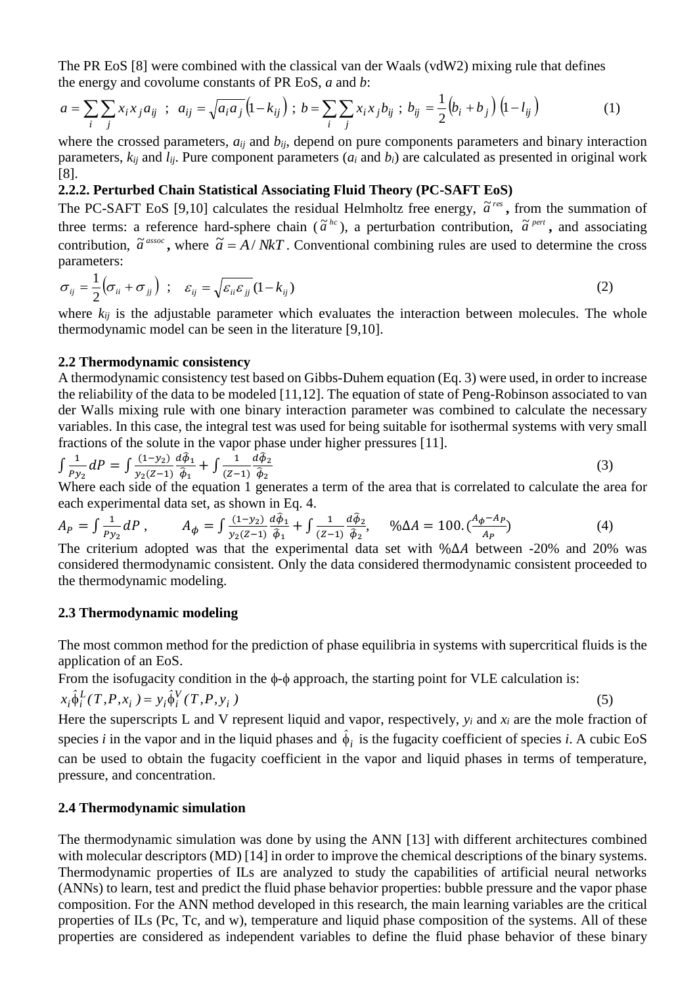The PR EoS [8] were combined with the classical van der Waals (vdW2) mixing rule that defines the energy and covolume constants of PR EoS, *a* and *b*:

$$
a = \sum_{i} \sum_{j} x_{i} x_{j} a_{ij} \; ; \; a_{ij} = \sqrt{a_{i} a_{j}} \left( 1 - k_{ij} \right) ; \; b = \sum_{i} \sum_{j} x_{i} x_{j} b_{ij} \; ; \; b_{ij} = \frac{1}{2} \left( b_{i} + b_{j} \right) \left( 1 - l_{ij} \right) \tag{1}
$$

where the crossed parameters,  $a_{ij}$  and  $b_{ij}$ , depend on pure components parameters and binary interaction parameters,  $k_{ij}$  and  $l_{ij}$ . Pure component parameters ( $a_i$  and  $b_i$ ) are calculated as presented in original work [8].

# **2.2.2. Perturbed Chain Statistical Associating Fluid Theory (PC-SAFT EoS)**

The PC-SAFT EoS [9,10] calculates the residual Helmholtz free energy,  $\tilde{a}^{res}$ , from the summation of three terms: a reference hard-sphere chain ( $\tilde{a}^{hc}$ ), a perturbation contribution,  $\tilde{a}^{per}$ , and associating contribution,  $\tilde{a}^{assoc}$ , where  $\tilde{a} = A/NkT$ . Conventional combining rules are used to determine the cross parameters:

$$
\sigma_{ij} = \frac{1}{2} \left( \sigma_{ii} + \sigma_{jj} \right) ; \quad \varepsilon_{ij} = \sqrt{\varepsilon_{ii} \varepsilon_{jj}} (1 - k_{ij})
$$
 (2)

where  $k_{ij}$  is the adjustable parameter which evaluates the interaction between molecules. The whole thermodynamic model can be seen in the literature [9,10].

#### **2.2 Thermodynamic consistency**

A thermodynamic consistency test based on Gibbs-Duhem equation (Eq. 3) were used, in order to increase the reliability of the data to be modeled [11,12]. The equation of state of Peng-Robinson associated to van der Walls mixing rule with one binary interaction parameter was combined to calculate the necessary variables. In this case, the integral test was used for being suitable for isothermal systems with very small fractions of the solute in the vapor phase under higher pressures [11].

$$
\int \frac{1}{Py_2} dP = \int \frac{(1-y_2)}{y_2(Z-1)} \frac{d\hat{\phi}_1}{\hat{\phi}_1} + \int \frac{1}{(Z-1)} \frac{d\hat{\phi}_2}{\hat{\phi}_2}
$$
(3)

Where each side of the equation 1 generates a term of the area that is correlated to calculate the area for each experimental data set, as shown in Eq. 4.

$$
A_P = \int \frac{1}{P y_2} dP , \qquad A_{\phi} = \int \frac{(1 - y_2)}{y_2 (Z - 1)} \frac{d \hat{\phi}_1}{\hat{\phi}_1} + \int \frac{1}{(Z - 1)} \frac{d \hat{\phi}_2}{\hat{\phi}_2}, \qquad \% \Delta A = 100. \left(\frac{A_{\phi} - A_P}{A_P}\right) \tag{4}
$$

The criterium adopted was that the experimental data set with %∆ A between -20% and 20% was considered thermodynamic consistent. Only the data considered thermodynamic consistent proceeded to the thermodynamic modeling.

#### **2.3 Thermodynamic modeling**

The most common method for the prediction of phase equilibria in systems with supercritical fluids is the application of an EoS.

(5)

From the isofugacity condition in the  $\phi$ - $\phi$  approach, the starting point for VLE calculation is:

$$
x_i \hat{\phi}_i^L(T, P, x_i) = y_i \hat{\phi}_i^V(T, P, y_i)
$$

Here the superscripts L and V represent liquid and vapor, respectively,  $y_i$  and  $x_i$  are the mole fraction of species *i* in the vapor and in the liquid phases and  $\hat{\phi}_i$  is the fugacity coefficient of species *i*. A cubic EoS can be used to obtain the fugacity coefficient in the vapor and liquid phases in terms of temperature, pressure, and concentration.

#### **2.4 Thermodynamic simulation**

The thermodynamic simulation was done by using the ANN [13] with different architectures combined with molecular descriptors (MD) [14] in order to improve the chemical descriptions of the binary systems. Thermodynamic properties of ILs are analyzed to study the capabilities of artificial neural networks (ANNs) to learn, test and predict the fluid phase behavior properties: bubble pressure and the vapor phase composition. For the ANN method developed in this research, the main learning variables are the critical properties of ILs (Pc, Tc, and w), temperature and liquid phase composition of the systems. All of these properties are considered as independent variables to define the fluid phase behavior of these binary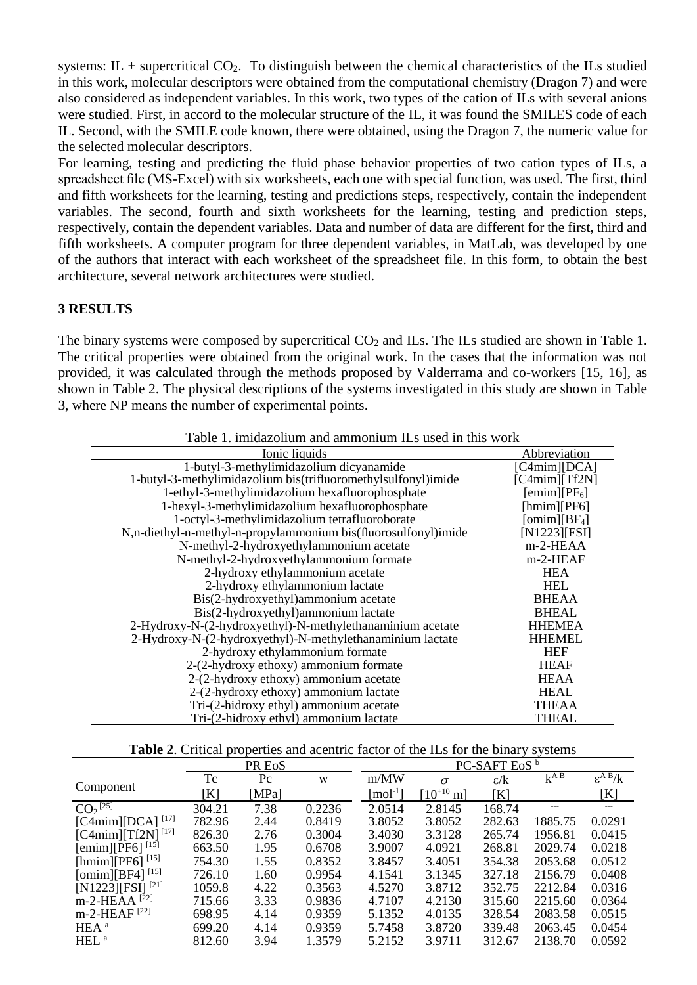systems:  $IL$  + supercritical  $CO<sub>2</sub>$ . To distinguish between the chemical characteristics of the ILs studied in this work, molecular descriptors were obtained from the computational chemistry (Dragon 7) and were also considered as independent variables. In this work, two types of the cation of ILs with several anions were studied. First, in accord to the molecular structure of the IL, it was found the SMILES code of each IL. Second, with the SMILE code known, there were obtained, using the Dragon 7, the numeric value for the selected molecular descriptors.

For learning, testing and predicting the fluid phase behavior properties of two cation types of ILs, a spreadsheet file (MS-Excel) with six worksheets, each one with special function, was used. The first, third and fifth worksheets for the learning, testing and predictions steps, respectively, contain the independent variables. The second, fourth and sixth worksheets for the learning, testing and prediction steps, respectively, contain the dependent variables. Data and number of data are different for the first, third and fifth worksheets. A computer program for three dependent variables, in MatLab, was developed by one of the authors that interact with each worksheet of the spreadsheet file. In this form, to obtain the best architecture, several network architectures were studied.

# **3 RESULTS**

The binary systems were composed by supercritical  $CO<sub>2</sub>$  and ILs. The ILs studied are shown in Table 1. The critical properties were obtained from the original work. In the cases that the information was not provided, it was calculated through the methods proposed by Valderrama and co-workers [15, 16], as shown in Table 2. The physical descriptions of the systems investigated in this study are shown in Table 3, where NP means the number of experimental points.

| Ionic liquids                                                  | Abbreviation             |
|----------------------------------------------------------------|--------------------------|
| 1-butyl-3-methylimidazolium dicyanamide                        | [C4min][DCA]             |
| 1-butyl-3-methylimidazolium bis(trifluoromethylsulfonyl)imide  | [C4mim][Tf2N]            |
| 1-ethyl-3-methylimidazolium hexafluorophosphate                | [emim][PF <sub>6</sub> ] |
| 1-hexyl-3-methylimidazolium hexafluorophosphate                | $[\text{hmin}][PF6]$     |
| 1-octyl-3-methylimidazolium tetrafluoroborate                  | [omin][BF <sub>4</sub> ] |
| N,n-diethyl-n-methyl-n-propylammonium bis(fluorosulfonyl)imide | [N1223][FSI]             |
| N-methyl-2-hydroxyethylammonium acetate                        | m-2-HEAA                 |
| N-methyl-2-hydroxyethylammonium formate                        | m-2-HEAF                 |
| 2-hydroxy ethylammonium acetate                                | <b>HEA</b>               |
| 2-hydroxy ethylammonium lactate                                | <b>HEL</b>               |
| Bis(2-hydroxyethyl)ammonium acetate                            | <b>BHEAA</b>             |
| Bis(2-hydroxyethyl)ammonium lactate                            | <b>BHEAL</b>             |
| 2-Hydroxy-N-(2-hydroxyethyl)-N-methylethanaminium acetate      | <b>HHEMEA</b>            |
| 2-Hydroxy-N-(2-hydroxyethyl)-N-methylethanaminium lactate      | <b>HHEMEL</b>            |
| 2-hydroxy ethylammonium formate                                | <b>HEF</b>               |
| 2-(2-hydroxy ethoxy) ammonium formate                          | <b>HEAF</b>              |
| 2-(2-hydroxy ethoxy) ammonium acetate                          | <b>HEAA</b>              |
| 2-(2-hydroxy ethoxy) ammonium lactate                          | <b>HEAL</b>              |
| Tri-(2-hidroxy ethyl) ammonium acetate                         | THEAA                    |
| Tri-(2-hidroxy ethyl) ammonium lactate                         | THEAL                    |

#### Table 1. imidazolium and ammonium ILs used in this work

| <b>Table 2.</b> Critical properties and acentric factor of the ILs for the binary systems |  |  |  |  |  |  |
|-------------------------------------------------------------------------------------------|--|--|--|--|--|--|
|-------------------------------------------------------------------------------------------|--|--|--|--|--|--|

|                                |        | PR EoS      |        | PC-SAFT EoS <sup>b</sup>     |                        |                          |                   |                    |  |  |
|--------------------------------|--------|-------------|--------|------------------------------|------------------------|--------------------------|-------------------|--------------------|--|--|
|                                | Tc     | $P_{\rm C}$ | W      | m/MW                         | $\sigma$               | $\varepsilon/\mathrm{k}$ | $k^{\text{A}\,B}$ | $\epsilon^{A B}/k$ |  |  |
| Component                      | K      | [MPa]       |        | $\lceil$ mol <sup>-1</sup> ] | $[10^{+10} \text{ m}]$ | $\mathbf{K}$             |                   | [K]                |  |  |
| $CO2$ <sup>[25]</sup>          | 304.21 | 7.38        | 0.2236 | 2.0514                       | 2.8145                 | 168.74                   |                   | $---$              |  |  |
| $[C4min][DCA]$ <sup>[17]</sup> | 782.96 | 2.44        | 0.8419 | 3.8052                       | 3.8052                 | 282.63                   | 1885.75           | 0.0291             |  |  |
| $[C4min][Tf2N]^{[17]}$         | 826.30 | 2.76        | 0.3004 | 3.4030                       | 3.3128                 | 265.74                   | 1956.81           | 0.0415             |  |  |
| [emim][PF6] <sup>[15]</sup>    | 663.50 | 1.95        | 0.6708 | 3.9007                       | 4.0921                 | 268.81                   | 2029.74           | 0.0218             |  |  |
| [hmim][PF6] <sup>[15]</sup>    | 754.30 | 1.55        | 0.8352 | 3.8457                       | 3.4051                 | 354.38                   | 2053.68           | 0.0512             |  |  |
| [omim][BF4] <sup>[15]</sup>    | 726.10 | 1.60        | 0.9954 | 4.1541                       | 3.1345                 | 327.18                   | 2156.79           | 0.0408             |  |  |
| $[N1223][FSI]^{[21]}$          | 1059.8 | 4.22        | 0.3563 | 4.5270                       | 3.8712                 | 352.75                   | 2212.84           | 0.0316             |  |  |
| m-2-HEAA <sup>[22]</sup>       | 715.66 | 3.33        | 0.9836 | 4.7107                       | 4.2130                 | 315.60                   | 2215.60           | 0.0364             |  |  |
| $m-2$ -HEAF <sup>[22]</sup>    | 698.95 | 4.14        | 0.9359 | 5.1352                       | 4.0135                 | 328.54                   | 2083.58           | 0.0515             |  |  |
| $HEA^a$                        | 699.20 | 4.14        | 0.9359 | 5.7458                       | 3.8720                 | 339.48                   | 2063.45           | 0.0454             |  |  |
| HEL <sup>a</sup>               | 812.60 | 3.94        | 1.3579 | 5.2152                       | 3.9711                 | 312.67                   | 2138.70           | 0.0592             |  |  |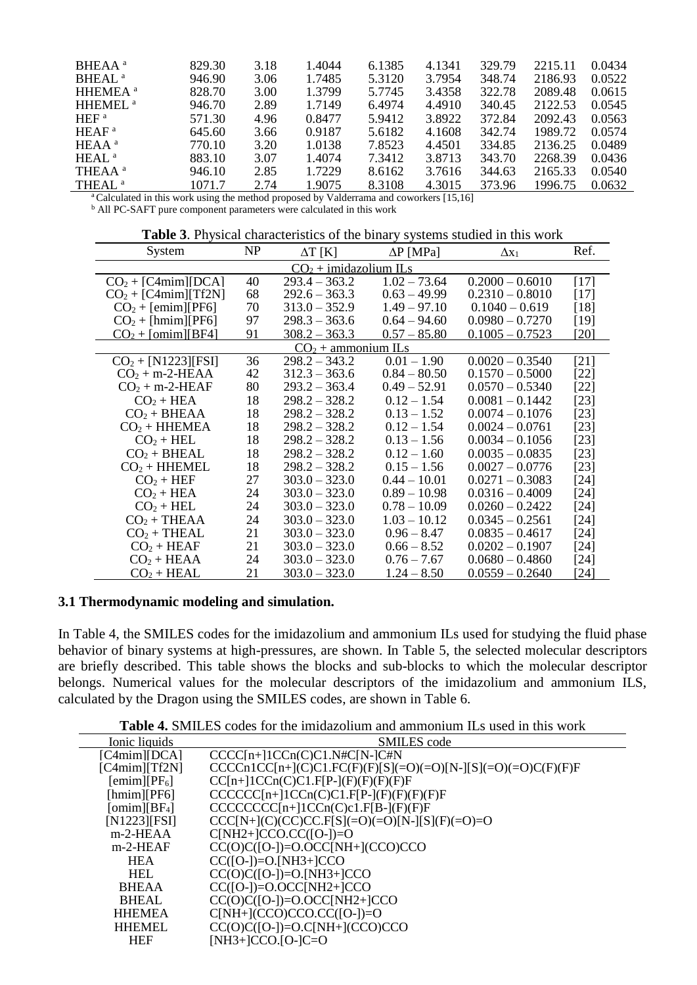| BHEAA <sup>a</sup>                                                                                                                                                                                          | 829.30 | 3.18 | 1.4044 | 6.1385 | 4.1341 | 329.79 | 2215.11 | 0.0434 |
|-------------------------------------------------------------------------------------------------------------------------------------------------------------------------------------------------------------|--------|------|--------|--------|--------|--------|---------|--------|
| BHEAL <sup>a</sup>                                                                                                                                                                                          | 946.90 | 3.06 | 1.7485 | 5.3120 | 3.7954 | 348.74 | 2186.93 | 0.0522 |
| HHEMEA <sup>a</sup>                                                                                                                                                                                         | 828.70 | 3.00 | 1.3799 | 5.7745 | 3.4358 | 322.78 | 2089.48 | 0.0615 |
| HHEMEL <sup>a</sup>                                                                                                                                                                                         | 946.70 | 2.89 | 1.7149 | 6.4974 | 4.4910 | 340.45 | 2122.53 | 0.0545 |
| HEF <sup>a</sup>                                                                                                                                                                                            | 571.30 | 4.96 | 0.8477 | 5.9412 | 3.8922 | 372.84 | 2092.43 | 0.0563 |
| HEAF <sup>a</sup>                                                                                                                                                                                           | 645.60 | 3.66 | 0.9187 | 5.6182 | 4.1608 | 342.74 | 1989.72 | 0.0574 |
| $HEAA^a$                                                                                                                                                                                                    | 770.10 | 3.20 | 1.0138 | 7.8523 | 4.4501 | 334.85 | 2136.25 | 0.0489 |
| HEAL <sup>a</sup>                                                                                                                                                                                           | 883.10 | 3.07 | 1.4074 | 7.3412 | 3.8713 | 343.70 | 2268.39 | 0.0436 |
| THEAA <sup>a</sup>                                                                                                                                                                                          | 946.10 | 2.85 | 1.7229 | 8.6162 | 3.7616 | 344.63 | 2165.33 | 0.0540 |
| THEAL <sup>a</sup>                                                                                                                                                                                          | 1071.7 | 2.74 | 1.9075 | 8.3108 | 4.3015 | 373.96 | 1996.75 | 0.0632 |
| $\mathbf{A} \cap \mathbf{A}$ , and $\mathbf{A} \cap \mathbf{A}$ , and $\mathbf{A} \cap \mathbf{A}$ , and $\mathbf{A} \cap \mathbf{A}$ , and $\mathbf{A} \cap \mathbf{A}$ , and $\mathbf{A} \cap \mathbf{A}$ |        |      |        |        |        |        |         |        |

66 na and co rkers [15,16  $\mathsf{k}$  $\alpha$  and  $\cos$ <sup>a</sup>Calculated in this work using the method proposed by Valderrama and coworkers [15,16]

<sup>b</sup> All PC-SAFT pure component parameters were calculated in this work

| Table 3. Physical characteristics of the binary systems studied in this work |  |  |  |  |  |
|------------------------------------------------------------------------------|--|--|--|--|--|
|------------------------------------------------------------------------------|--|--|--|--|--|

| System                | NP | $\Delta T$ [K]          | $\Delta P$ [MPa] | $\Delta x_1$      | Ref.              |
|-----------------------|----|-------------------------|------------------|-------------------|-------------------|
|                       |    | $CO2$ + imidazolium ILs |                  |                   |                   |
| $CO2 + [C4min][DCA]$  | 40 | $293.4 - 363.2$         | $1.02 - 73.64$   | $0.2000 - 0.6010$ | [17]              |
| $CO2 + [C4min][Tf2N]$ | 68 | $292.6 - 363.3$         | $0.63 - 49.99$   | $0.2310 - 0.8010$ | $[17]$            |
| $CO2 + [emim][PF6]$   | 70 | $313.0 - 352.9$         | $1.49 - 97.10$   | $0.1040 - 0.619$  | [18]              |
| $CO2 + [hmin][PF6]$   | 97 | $298.3 - 363.6$         | $0.64 - 94.60$   | $0.0980 - 0.7270$ | [19]              |
| $CO2 + [omim][BF4]$   | 91 | $308.2 - 363.3$         | $0.57 - 85.80$   | $0.1005 - 0.7523$ | [20]              |
|                       |    | $CO2$ + ammonium ILs    |                  |                   |                   |
| $CO2 + [N1223][FSI]$  | 36 | $298.2 - 343.2$         | $0.01 - 1.90$    | $0.0020 - 0.3540$ | [21]              |
| $CO2 + m-2-HEAA$      | 42 | $312.3 - 363.6$         | $0.84 - 80.50$   | $0.1570 - 0.5000$ | $[22]$            |
| $CO2 + m-2-HEAF$      | 80 | $293.2 - 363.4$         | $0.49 - 52.91$   | $0.0570 - 0.5340$ | $[22]$            |
| $CO2 + HEA$           | 18 | $298.2 - 328.2$         | $0.12 - 1.54$    | $0.0081 - 0.1442$ | [23]              |
| $CO2 + BHEAA$         | 18 | $298.2 - 328.2$         | $0.13 - 1.52$    | $0.0074 - 0.1076$ | $[23]$            |
| $CO2 + HHEMEA$        | 18 | $298.2 - 328.2$         | $0.12 - 1.54$    | $0.0024 - 0.0761$ | [23]              |
| $CO2 + HEL$           | 18 | $298.2 - 328.2$         | $0.13 - 1.56$    | $0.0034 - 0.1056$ | $[23]$            |
| $CO2 + BHEAL$         | 18 | $298.2 - 328.2$         | $0.12 - 1.60$    | $0.0035 - 0.0835$ | $[23]$            |
| $CO2 + HHEMEL$        | 18 | $298.2 - 328.2$         | $0.15 - 1.56$    | $0.0027 - 0.0776$ | [23]              |
| $CO2 + HEF$           | 27 | $303.0 - 323.0$         | $0.44 - 10.01$   | $0.0271 - 0.3083$ | $[24]$            |
| $CO2 + HEA$           | 24 | $303.0 - 323.0$         | $0.89 - 10.98$   | $0.0316 - 0.4009$ | $[24]$            |
| $CO2 + HEL$           | 24 | $303.0 - 323.0$         | $0.78 - 10.09$   | $0.0260 - 0.2422$ | [24]              |
| $CO2 + THEAA$         | 24 | $303.0 - 323.0$         | $1.03 - 10.12$   | $0.0345 - 0.2561$ | [24]              |
| $CO2 + THEAL$         | 21 | $303.0 - 323.0$         | $0.96 - 8.47$    | $0.0835 - 0.4617$ | [24]              |
| $CO2 + HEAF$          | 21 | $303.0 - 323.0$         | $0.66 - 8.52$    | $0.0202 - 0.1907$ | [24]              |
| $CO2 + HEAD$          | 24 | $303.0 - 323.0$         | $0.76 - 7.67$    | $0.0680 - 0.4860$ | [24]              |
| $CO2 + HEAL$          | 21 | $303.0 - 323.0$         | $1.24 - 8.50$    | $0.0559 - 0.2640$ | $\left[24\right]$ |

# **3.1 Thermodynamic modeling and simulation.**

In Table 4, the SMILES codes for the imidazolium and ammonium ILs used for studying the fluid phase behavior of binary systems at high-pressures, are shown. In Table 5, the selected molecular descriptors are briefly described. This table shows the blocks and sub-blocks to which the molecular descriptor belongs. Numerical values for the molecular descriptors of the imidazolium and ammonium ILS, calculated by the Dragon using the SMILES codes, are shown in Table 6.

**Table 4.** SMILES codes for the imidazolium and ammonium ILs used in this work

| Ionic liquids        | SMILES code                                                      |
|----------------------|------------------------------------------------------------------|
| [C4min][DCA]         | $CCC[n+]1CCn(C)C1.N#C[N-]C#N$                                    |
| [C4min][Tf2N]        | $CCCcn1CC[n+](C)C1.FC(F)(F)[S] (=O)(=O)[N-][S] (=O)(=O)C(F)(F)F$ |
| $[emim][PF_6]$       | $CC[n+]1CCn(C)C1.F[P-](F)(F)(F)F$                                |
| [hmin][PF6]          | $CCCCC[n+]1CCn(C)C1.F[P-(F)(F)(F)(F)F$                           |
| $[{\rm omin}][BF_4]$ | $CCCCCCC[n+]1CCn(C)c1.F[B-](F)(F)F$                              |
| [N1223][FSI]         | $CCC[N+](C)(CC)CC.F[S](=O)(=O)[N-][S](F)(=O)=O$                  |
| $m-2$ -HEAA          | $C[NH2+]CCO.CC([O-])=O$                                          |
| $m-2$ -HEAF          | $CC(O)C([O-])=O.OCC[NH+](CCO)CCO$                                |
| <b>HEA</b>           | $CC([O-])=O.[NH3+]CCO$                                           |
| HEL.                 | $CC(O)C([O-])=O.[NH3+]CCO$                                       |
| <b>BHEAA</b>         | $CC([O-])=O.OCC[NH2+]CCO$                                        |
| <b>BHEAL</b>         | $CC(O)C([O-])=O.OCC[NH2+]CCO$                                    |
| <b>HHEMEA</b>        | $C[NH+](CCO)CCO.CC([O-])=O$                                      |
| <b>HHEMEL</b>        | $CC(O)C([O-])=O.C[NH+](CCO)CCO$                                  |
| <b>HEF</b>           | $[NH3+]CCO.[O-]C=O$                                              |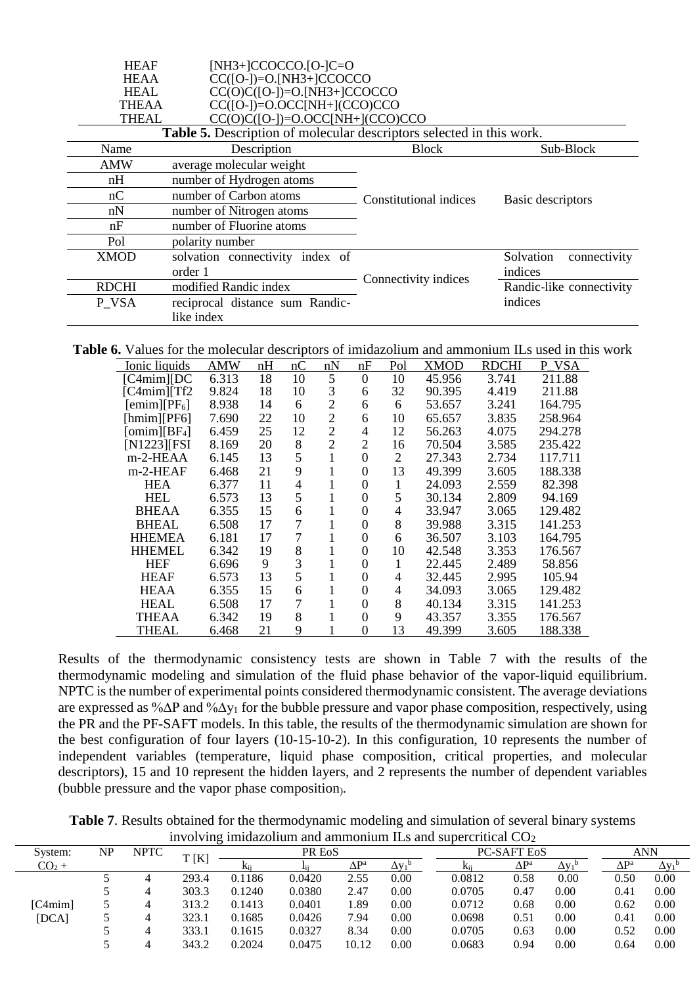| <b>HEAF</b>  | $[NH3+]CCOCCO.[O-]C=O$                                                      |                        |                           |
|--------------|-----------------------------------------------------------------------------|------------------------|---------------------------|
| <b>HEAA</b>  | $CC([O-])=O.[NH3+]CCOCCO$                                                   |                        |                           |
| <b>HEAL</b>  | $CC(O)C([O-])=O.[NH3+]CCOCCO$                                               |                        |                           |
| THEAA        | $CC([O-])=O.OCC[NH+](CCO)CCO$                                               |                        |                           |
| THEAL        | $CC(O)C([O-])=O.OCC[NH+](CCO)CCO$                                           |                        |                           |
|              | <b>Table 5.</b> Description of molecular descriptors selected in this work. |                        |                           |
| Name         | Description                                                                 | <b>Block</b>           | Sub-Block                 |
| <b>AMW</b>   | average molecular weight                                                    |                        |                           |
| nH           | number of Hydrogen atoms                                                    |                        |                           |
| nC           | number of Carbon atoms                                                      | Constitutional indices | Basic descriptors         |
| nN           | number of Nitrogen atoms                                                    |                        |                           |
| nF           | number of Fluorine atoms                                                    |                        |                           |
| Pol          | polarity number                                                             |                        |                           |
| <b>XMOD</b>  | solvation connectivity index of                                             |                        | Solvation<br>connectivity |
|              | order 1                                                                     | Connectivity indices   | indices                   |
| <b>RDCHI</b> | modified Randic index                                                       |                        | Randic-like connectivity  |
| P VSA        | reciprocal distance sum Randic-                                             |                        | indices                   |
|              | like index                                                                  |                        |                           |

**Table 6.** Values for the molecular descriptors of imidazolium and ammonium ILs used in this work

| Ionic liquids   | AMW   | nH | nC | nN             | nF             | Pol | <b>XMOD</b> | <b>RDCHI</b> | VSA<br>P |
|-----------------|-------|----|----|----------------|----------------|-----|-------------|--------------|----------|
| [C4min][DC]     | 6.313 | 18 | 10 | 5              | $\theta$       | 10  | 45.956      | 3.741        | 211.88   |
| [C4min][Tf2]    | 9.824 | 18 | 10 | 3              | 6              | 32  | 90.395      | 4.419        | 211.88   |
| $[emim][PF_6]$  | 8.938 | 14 | 6  | $\overline{2}$ | 6              | 6   | 53.657      | 3.241        | 164.795  |
| [hmin][PF6]     | 7.690 | 22 | 10 | $\overline{2}$ | 6              | 10  | 65.657      | 3.835        | 258.964  |
| $[omim][BF_4]$  | 6.459 | 25 | 12 | $\overline{2}$ | 4              | 12  | 56.263      | 4.075        | 294.278  |
| $[N1223]$ $FSI$ | 8.169 | 20 | 8  | $\overline{2}$ | $\overline{c}$ | 16  | 70.504      | 3.585        | 235.422  |
| m-2-HEAA        | 6.145 | 13 | 5  | 1              | 0              | 2   | 27.343      | 2.734        | 117.711  |
| $m-2$ -HEAF     | 6.468 | 21 | 9  |                | 0              | 13  | 49.399      | 3.605        | 188.338  |
| <b>HEA</b>      | 6.377 | 11 | 4  | 1              | 0              |     | 24.093      | 2.559        | 82.398   |
| <b>HEL</b>      | 6.573 | 13 | 5  |                | 0              | 5   | 30.134      | 2.809        | 94.169   |
| <b>BHEAA</b>    | 6.355 | 15 | 6  | 1              | 0              | 4   | 33.947      | 3.065        | 129.482  |
| <b>BHEAL</b>    | 6.508 | 17 | 7  |                | 0              | 8   | 39.988      | 3.315        | 141.253  |
| <b>HHEMEA</b>   | 6.181 | 17 | 7  | 1              | 0              | 6   | 36.507      | 3.103        | 164.795  |
| <b>HHEMEL</b>   | 6.342 | 19 | 8  | 1              | 0              | 10  | 42.548      | 3.353        | 176.567  |
| <b>HEF</b>      | 6.696 | 9  | 3  |                | 0              | 1   | 22.445      | 2.489        | 58.856   |
| <b>HEAF</b>     | 6.573 | 13 | 5  | 1              | 0              | 4   | 32.445      | 2.995        | 105.94   |
| <b>HEAA</b>     | 6.355 | 15 | 6  | 1              | 0              | 4   | 34.093      | 3.065        | 129.482  |
| <b>HEAL</b>     | 6.508 | 17 | 7  |                | 0              | 8   | 40.134      | 3.315        | 141.253  |
| THEAA           | 6.342 | 19 | 8  |                | 0              | 9   | 43.357      | 3.355        | 176.567  |
| THEAL           | 6.468 | 21 | 9  |                | $\theta$       | 13  | 49.399      | 3.605        | 188.338  |

Results of the thermodynamic consistency tests are shown in Table 7 with the results of the thermodynamic modeling and simulation of the fluid phase behavior of the vapor-liquid equilibrium. NPTC is the number of experimental points considered thermodynamic consistent. The average deviations are expressed as %∆P and %∆y<sup>1</sup> for the bubble pressure and vapor phase composition, respectively, using the PR and the PF-SAFT models. In this table, the results of the thermodynamic simulation are shown for the best configuration of four layers (10-15-10-2). In this configuration, 10 represents the number of independent variables (temperature, liquid phase composition, critical properties, and molecular descriptors), 15 and 10 represent the hidden layers, and 2 represents the number of dependent variables (bubble pressure and the vapor phase composition).

**Table 7**. Results obtained for the thermodynamic modeling and simulation of several binary systems involving imidazolium and ammonium ILs and supercritical  $CO<sub>2</sub>$ 

| System: | NP | <b>NPTC</b> |       |        | PR E <sub>o</sub> S |              |            |                 | <b>PC-SAFT EOS</b> |                                      |                                | <b>ANN</b>                           |
|---------|----|-------------|-------|--------|---------------------|--------------|------------|-----------------|--------------------|--------------------------------------|--------------------------------|--------------------------------------|
| $CO2 +$ |    |             | [K]   | Kii    |                     | $\Delta P^a$ | $\Delta v$ | K <sub>ii</sub> | $\Delta P^a$       | $\Delta$ y <sub>1</sub> <sup>b</sup> | $\Delta \mathrm{P}^\mathrm{a}$ | $\Delta$ y <sub>1</sub> <sup>b</sup> |
|         |    |             | 293.4 | 0.1186 | 0.0420              | 2.55         | 0.00       | 0.0812          | 0.58               | 0.00                                 | 0.50                           | 0.00                                 |
|         |    |             | 303.3 | 0.1240 | 0.0380              | 2.47         | 0.00       | 0.0705          | 0.47               | 0.00                                 | 0.41                           | 0.00                                 |
| [C4min] |    |             | 313.2 | 0.1413 | 0.0401              | l.89         | 0.00       | 0.0712          | 0.68               | 0.00                                 | 0.62                           | 0.00                                 |
| [DCA]   |    |             | 323.1 | 0.1685 | 0.0426              | 7.94         | 0.00       | 0.0698          | 0.51               | 0.00                                 | 0.41                           | 0.00                                 |
|         |    |             | 333.1 | 0.1615 | 0.0327              | 8.34         | 0.00       | 0.0705          | 0.63               | 0.00                                 | 0.52                           | 0.00                                 |
|         |    |             | 343.2 | 0.2024 | 0.0475              | 10.12        | 0.00       | 0.0683          | 0.94               | 0.00                                 | 0.64                           | 0.00                                 |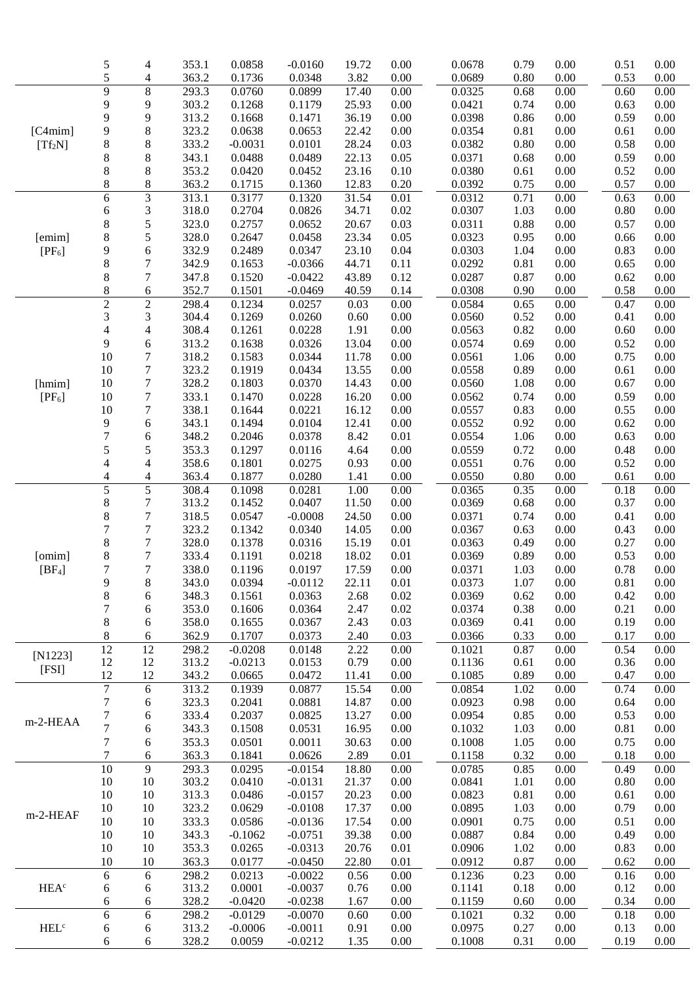|                                 | 5                        | 4                        | 353.1          | 0.0858           | $-0.0160$        | 19.72          | 0.00         | 0.0678           | 0.79         | 0.00                 | 0.51         | 0.00             |
|---------------------------------|--------------------------|--------------------------|----------------|------------------|------------------|----------------|--------------|------------------|--------------|----------------------|--------------|------------------|
|                                 | 5                        | 4                        | 363.2          | 0.1736           | 0.0348           | 3.82           | 0.00         | 0.0689           | 0.80         | 0.00                 | 0.53         | 0.00             |
|                                 | $\overline{9}$           | $\,8\,$                  | 293.3          | 0.0760           | 0.0899           | 17.40          | 0.00         | 0.0325           | 0.68         | 0.00                 | 0.60         | 0.00             |
|                                 | 9                        | 9                        | 303.2          | 0.1268           | 0.1179           | 25.93          | 0.00         | 0.0421           | 0.74         | 0.00                 | 0.63         | 0.00             |
|                                 | 9                        | 9                        | 313.2          | 0.1668           | 0.1471           | 36.19          | 0.00         | 0.0398           | 0.86         | 0.00                 | 0.59         | 0.00             |
| [C4mim]                         |                          | $\,$ 8 $\,$              | 323.2          | 0.0638           | 0.0653           | 22.42          | $0.00\,$     | 0.0354           | 0.81         | 0.00                 | 0.61         | 0.00             |
|                                 | 9<br>8                   | $\,$ 8 $\,$              | 333.2          | $-0.0031$        | 0.0101           | 28.24          | 0.03         | 0.0382           | 0.80         | 0.00                 | 0.58         | 0.00             |
| $[Tf_2N]$                       |                          |                          |                |                  | 0.0489           | 22.13          |              |                  |              |                      | 0.59         |                  |
|                                 | 8                        | $\,$ 8 $\,$              | 343.1          | 0.0488           |                  |                | 0.05         | 0.0371           | 0.68         | 0.00                 |              | 0.00             |
|                                 | 8                        | $\,$ 8 $\,$              | 353.2          | 0.0420           | 0.0452           | 23.16          | 0.10         | 0.0380           | 0.61         | 0.00                 | 0.52         | 0.00             |
|                                 | 8                        | $\,$ 8 $\,$              | 363.2          | 0.1715           | 0.1360           | 12.83          | 0.20         | 0.0392           | 0.75         | 0.00                 | 0.57         | 0.00             |
|                                 | $\overline{6}$           | $\overline{3}$           | 313.1          | 0.3177           | 0.1320           | 31.54          | 0.01         | 0.0312           | 0.71         | 0.00                 | 0.63         | 0.00             |
|                                 | 6                        | $\mathfrak 3$            | 318.0          | 0.2704           | 0.0826           | 34.71          | 0.02         | 0.0307           | 1.03         | $0.00\,$             | 0.80         | 0.00             |
|                                 | 8                        | 5                        | 323.0          | 0.2757           | 0.0652           | 20.67          | 0.03         | 0.0311           | 0.88         | 0.00                 | 0.57         | 0.00             |
| [emim]                          | 8                        | 5                        | 328.0          | 0.2647           | 0.0458           | 23.34          | 0.05         | 0.0323           | 0.95         | 0.00                 | 0.66         | 0.00             |
| $[PF_6]$                        | 9                        | 6                        | 332.9          | 0.2489           | 0.0347           | 23.10          | 0.04         | 0.0303           | 1.04         | 0.00                 | 0.83         | 0.00             |
|                                 | 8                        | $\boldsymbol{7}$         | 342.9          | 0.1653           | $-0.0366$        | 44.71          | 0.11         | 0.0292           | 0.81         | 0.00                 | 0.65         | 0.00             |
|                                 | 8                        | $\tau$                   | 347.8          | 0.1520           | $-0.0422$        | 43.89          | 0.12         | 0.0287           | 0.87         | 0.00                 | 0.62         | 0.00             |
|                                 | 8                        | 6                        | 352.7          | 0.1501           | $-0.0469$        | 40.59          | 0.14         | 0.0308           | 0.90         | 0.00                 | 0.58         | 0.00             |
|                                 | $\overline{2}$           | $\sqrt{2}$               | 298.4          | 0.1234           | 0.0257           | 0.03           | 0.00         | 0.0584           | 0.65         | 0.00                 | 0.47         | 0.00             |
|                                 | 3                        | 3                        | 304.4          | 0.1269           | 0.0260           | 0.60           | 0.00         | 0.0560           | 0.52         | $0.00\,$             | 0.41         | 0.00             |
|                                 | 4                        | $\overline{4}$           | 308.4          | 0.1261           | 0.0228           | 1.91           | 0.00         | 0.0563           | 0.82         | $0.00\,$             | 0.60         | 0.00             |
|                                 | 9                        | 6                        | 313.2          | 0.1638           | 0.0326           | 13.04          | 0.00         | 0.0574           | 0.69         | $0.00\,$             | 0.52         | 0.00             |
|                                 | 10                       | $\boldsymbol{7}$         | 318.2          | 0.1583           | 0.0344           | 11.78          | 0.00         | 0.0561           | 1.06         | 0.00                 | 0.75         | 0.00             |
|                                 | 10                       | $\boldsymbol{7}$         | 323.2          | 0.1919           | 0.0434           | 13.55          | 0.00         | 0.0558           | 0.89         | 0.00                 | 0.61         | 0.00             |
| [hmim]                          | 10                       | $\tau$                   | 328.2          | 0.1803           | 0.0370           | 14.43          | 0.00         | 0.0560           | 1.08         | 0.00                 | 0.67         | 0.00             |
| $[PF_6]$                        | 10                       | $\tau$                   | 333.1          | 0.1470           | 0.0228           | 16.20          | 0.00         | 0.0562           | 0.74         | $0.00\,$             | 0.59         | 0.00             |
|                                 | 10                       | $\tau$                   | 338.1          | 0.1644           | 0.0221           | 16.12          | 0.00         | 0.0557           | 0.83         | 0.00                 | 0.55         | 0.00             |
|                                 | 9                        | 6                        | 343.1          | 0.1494           | 0.0104           | 12.41          | 0.00         | 0.0552           | 0.92         | 0.00                 | 0.62         | 0.00             |
|                                 | $\overline{7}$           | 6                        | 348.2          | 0.2046           | 0.0378           | 8.42           | 0.01         | 0.0554           | 1.06         | $0.00\,$             | 0.63         | 0.00             |
|                                 | 5                        | 5                        | 353.3          | 0.1297           | 0.0116           | 4.64           | 0.00         | 0.0559           | 0.72         | 0.00                 | 0.48         | 0.00             |
|                                 | $\overline{\mathcal{L}}$ | $\overline{\mathcal{L}}$ | 358.6          | 0.1801           | 0.0275           | 0.93           | 0.00         | 0.0551           | 0.76         | 0.00                 | 0.52         | 0.00             |
|                                 | 4                        | 4                        | 363.4          | 0.1877           | 0.0280           | 1.41           | 0.00         | 0.0550           | 0.80         | 0.00                 | 0.61         | 0.00             |
|                                 | 5                        | 5                        | 308.4          | 0.1098           | 0.0281           | 1.00           | 0.00         | 0.0365           | 0.35         | 0.00                 | 0.18         | 0.00             |
|                                 | 8                        | 7                        | 313.2          | 0.1452           | 0.0407           | 11.50          | 0.00         | 0.0369           | 0.68         | 0.00                 | 0.37         | 0.00             |
|                                 | 8                        | $\tau$                   | 318.5          | 0.0547           | $-0.0008$        | 24.50          | 0.00         | 0.0371           | 0.74         | 0.00                 | 0.41         | 0.00             |
|                                 | $\overline{7}$           | $\tau$                   | 323.2          | 0.1342           | 0.0340           | 14.05          | 0.00         | 0.0367           | 0.63         | 0.00                 | 0.43         | 0.00             |
|                                 | 8                        | $\tau$                   | 328.0          | 0.1378           | 0.0316           | 15.19          | 0.01         | 0.0363           | 0.49         | 0.00                 | 0.27         | 0.00             |
| [omim]                          | 8                        | $\boldsymbol{7}$         | 333.4          | 0.1191           | 0.0218           | 18.02          | 0.01         | 0.0369           | 0.89         | 0.00                 | 0.53         | 0.00             |
| [BF <sub>4</sub> ]              | 7                        | $\tau$                   | 338.0          | 0.1196           | 0.0197           | 17.59          | 0.00         | 0.0371           | 1.03         | 0.00                 | 0.78         | 0.00             |
|                                 | 9                        | $\,8\,$                  | 343.0          | 0.0394           | $-0.0112$        | 22.11          | 0.01         | 0.0373           | 1.07         | $0.00\,$             | 0.81         | $0.00\,$         |
|                                 | $\,$ 8 $\,$              | 6                        | 348.3          | 0.1561           | 0.0363           | 2.68           | 0.02         | 0.0369           | 0.62         | 0.00                 | 0.42         | 0.00             |
|                                 | 7                        | 6                        | 353.0          | 0.1606           | 0.0364           | 2.47           | 0.02         | 0.0374           | 0.38         | 0.00                 | 0.21         | 0.00             |
|                                 | 8                        | 6                        | 358.0          | 0.1655           | 0.0367           | 2.43           | 0.03         | 0.0369           | 0.41         | 0.00                 | 0.19         | $0.00\,$         |
|                                 | $8\,$                    | 6                        | 362.9          | 0.1707           | 0.0373           | 2.40           | 0.03         | 0.0366           | 0.33         | 0.00                 | 0.17         | 0.00             |
| $[N1223]$                       | 12                       | 12                       | 298.2          | $-0.0208$        | 0.0148           | 2.22           | 0.00         | 0.1021           | 0.87         | 0.00                 | 0.54         | 0.00             |
| [FSI]                           | 12                       | 12                       | 313.2          | $-0.0213$        | 0.0153           | 0.79           | 0.00         | 0.1136           | 0.61         | 0.00                 | 0.36         | 0.00             |
|                                 | 12<br>$\overline{7}$     | 12                       | 343.2          | 0.0665           | 0.0472           | 11.41          | 0.00         | 0.1085           | 0.89         | 0.00                 | 0.47         | 0.00             |
|                                 | $\boldsymbol{7}$         | 6                        | 313.2          | 0.1939           | 0.0877           | 15.54          | 0.00         | 0.0854           | 1.02         | 0.00                 | 0.74         | 0.00             |
|                                 | $\overline{7}$           | 6                        | 323.3<br>333.4 | 0.2041<br>0.2037 | 0.0881<br>0.0825 | 14.87<br>13.27 | 0.00<br>0.00 | 0.0923<br>0.0954 | 0.98<br>0.85 | $0.00\,$<br>$0.00\,$ | 0.64<br>0.53 | 0.00<br>$0.00\,$ |
| m-2-HEAA                        | $\overline{7}$           | 6                        | 343.3          |                  | 0.0531           | 16.95          | 0.00         | 0.1032           |              |                      | 0.81         | $0.00\,$         |
|                                 | $\boldsymbol{7}$         | 6                        | 353.3          | 0.1508<br>0.0501 | 0.0011           | 30.63          | 0.00         | 0.1008           | 1.03<br>1.05 | 0.00<br>0.00         | 0.75         | $0.00\,$         |
|                                 | $\tau$                   | 6<br>6                   | 363.3          | 0.1841           | 0.0626           | 2.89           | 0.01         | 0.1158           | 0.32         | 0.00                 | 0.18         | 0.00             |
|                                 | 10                       | 9                        | 293.3          | 0.0295           | $-0.0154$        | 18.80          | 0.00         | 0.0785           | 0.85         | 0.00                 | 0.49         | 0.00             |
|                                 | 10                       | 10                       | 303.2          | 0.0410           | $-0.0131$        | 21.37          | 0.00         | 0.0841           | 1.01         | 0.00                 | 0.80         | 0.00             |
|                                 | 10                       | 10                       | 313.3          | 0.0486           | $-0.0157$        | 20.23          | 0.00         | 0.0823           | 0.81         | 0.00                 | 0.61         | 0.00             |
|                                 | 10                       | 10                       | 323.2          | 0.0629           | $-0.0108$        | 17.37          | 0.00         | 0.0895           | 1.03         | 0.00                 | 0.79         | 0.00             |
| m-2-HEAF                        | 10                       | $10\,$                   | 333.3          | 0.0586           | $-0.0136$        | 17.54          | 0.00         | 0.0901           | 0.75         | 0.00                 | 0.51         | 0.00             |
|                                 | 10                       | $10\,$                   | 343.3          | $-0.1062$        | $-0.0751$        | 39.38          | 0.00         | 0.0887           | 0.84         | $0.00\,$             | 0.49         | $0.00\,$         |
|                                 | 10                       | 10                       | 353.3          | 0.0265           | $-0.0313$        | 20.76          | 0.01         | 0.0906           | 1.02         | 0.00                 | 0.83         | 0.00             |
|                                 | 10                       | 10                       | 363.3          | 0.0177           | $-0.0450$        | 22.80          | 0.01         | 0.0912           | 0.87         | 0.00                 | 0.62         | 0.00             |
|                                 | 6                        | 6                        | 298.2          | 0.0213           | $-0.0022$        | 0.56           | 0.00         | 0.1236           | 0.23         | 0.00                 | 0.16         | 0.00             |
| HEA <sup>c</sup>                | 6                        | 6                        | 313.2          | 0.0001           | $-0.0037$        | 0.76           | 0.00         | 0.1141           | 0.18         | 0.00                 | 0.12         | 0.00             |
|                                 | 6                        | 6                        | 328.2          | $-0.0420$        | $-0.0238$        | 1.67           | 0.00         | 0.1159           | 0.60         | 0.00                 | 0.34         | 0.00             |
|                                 | 6                        | 6                        | 298.2          | $-0.0129$        | $-0.0070$        | 0.60           | 0.00         | 0.1021           | 0.32         | 0.00                 | 0.18         | 0.00             |
| $\operatorname{HEL}^\mathrm{c}$ | 6                        | 6                        | 313.2          | $-0.0006$        | $-0.0011$        | 0.91           | 0.00         | 0.0975           | 0.27         | 0.00                 | 0.13         | 0.00             |
|                                 | 6                        | 6                        | 328.2          | 0.0059           | $-0.0212$        | 1.35           | 0.00         | 0.1008           | 0.31         | 0.00                 | 0.19         | 0.00             |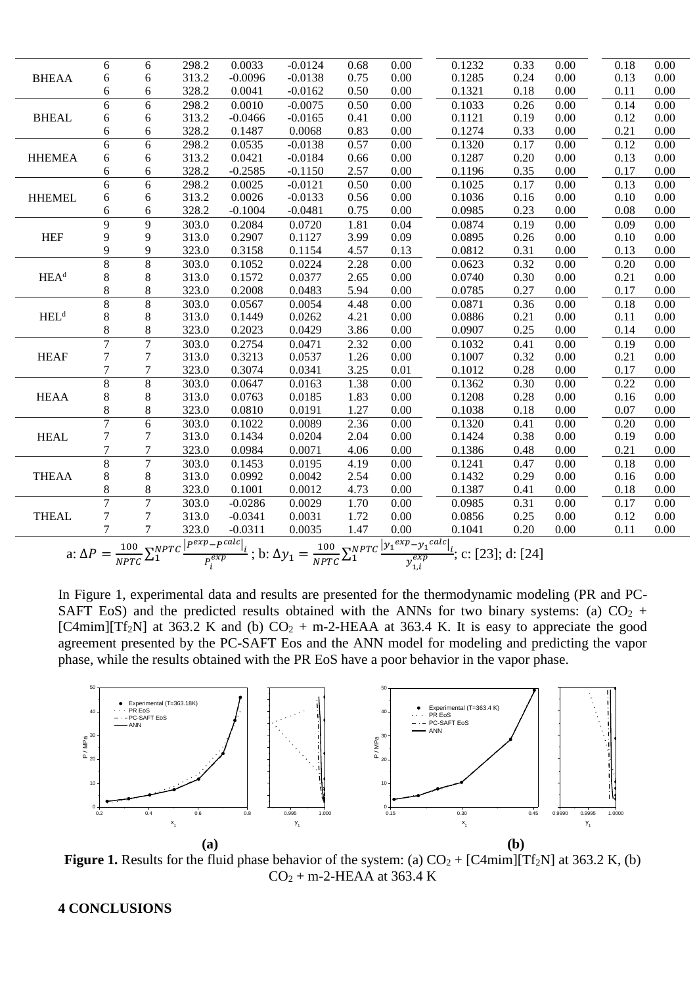|                  | 6              | 6              | 298.2 | 0.0033    | $-0.0124$ | 0.68              | 0.00              | 0.1232                                                                                                                                                                                                         | 0.33 | 0.00              | 0.18 | 0.00              |
|------------------|----------------|----------------|-------|-----------|-----------|-------------------|-------------------|----------------------------------------------------------------------------------------------------------------------------------------------------------------------------------------------------------------|------|-------------------|------|-------------------|
| <b>BHEAA</b>     | 6              | 6              | 313.2 | $-0.0096$ | $-0.0138$ | 0.75              | 0.00              | 0.1285                                                                                                                                                                                                         | 0.24 | 0.00              | 0.13 | 0.00              |
|                  | 6              | 6              | 328.2 | 0.0041    | $-0.0162$ | 0.50              | 0.00              | 0.1321                                                                                                                                                                                                         | 0.18 | 0.00              | 0.11 | 0.00              |
|                  | 6              | 6              | 298.2 | 0.0010    | $-0.0075$ | 0.50              | 0.00              | 0.1033                                                                                                                                                                                                         | 0.26 | 0.00              | 0.14 | 0.00              |
| <b>BHEAL</b>     | 6              | 6              | 313.2 | $-0.0466$ | $-0.0165$ | 0.41              | 0.00              | 0.1121                                                                                                                                                                                                         | 0.19 | 0.00              | 0.12 | 0.00              |
|                  | 6              | 6              | 328.2 | 0.1487    | 0.0068    | 0.83              | 0.00              | 0.1274                                                                                                                                                                                                         | 0.33 | 0.00              | 0.21 | 0.00              |
|                  | 6              | 6              | 298.2 | 0.0535    | $-0.0138$ | 0.57              | 0.00              | 0.1320                                                                                                                                                                                                         | 0.17 | 0.00              | 0.12 | 0.00              |
| <b>HHEMEA</b>    | 6              | 6              | 313.2 | 0.0421    | $-0.0184$ | 0.66              | 0.00              | 0.1287                                                                                                                                                                                                         | 0.20 | 0.00              | 0.13 | 0.00              |
|                  | 6              | 6              | 328.2 | $-0.2585$ | $-0.1150$ | 2.57              | 0.00              | 0.1196                                                                                                                                                                                                         | 0.35 | 0.00              | 0.17 | 0.00              |
|                  | 6              | 6              | 298.2 | 0.0025    | $-0.0121$ | 0.50              | $\overline{0.00}$ | 0.1025                                                                                                                                                                                                         | 0.17 | $\overline{0.00}$ | 0.13 | $\overline{0.00}$ |
| <b>HHEMEL</b>    | 6              | 6              | 313.2 | 0.0026    | $-0.0133$ | 0.56              | 0.00              | 0.1036                                                                                                                                                                                                         | 0.16 | 0.00              | 0.10 | 0.00              |
|                  | 6              | 6              | 328.2 | $-0.1004$ | $-0.0481$ | 0.75              | 0.00              | 0.0985                                                                                                                                                                                                         | 0.23 | 0.00              | 0.08 | 0.00              |
|                  | 9              | 9              | 303.0 | 0.2084    | 0.0720    | 1.81              | 0.04              | 0.0874                                                                                                                                                                                                         | 0.19 | 0.00              | 0.09 | 0.00              |
| <b>HEF</b>       | 9              | 9              | 313.0 | 0.2907    | 0.1127    | 3.99              | 0.09              | 0.0895                                                                                                                                                                                                         | 0.26 | 0.00              | 0.10 | 0.00              |
|                  | 9              | 9              | 323.0 | 0.3158    | 0.1154    | 4.57              | 0.13              | 0.0812                                                                                                                                                                                                         | 0.31 | 0.00              | 0.13 | 0.00              |
|                  | $\overline{8}$ | 8              | 303.0 | 0.1052    | 0.0224    | 2.28              | 0.00              | 0.0623                                                                                                                                                                                                         | 0.32 | 0.00              | 0.20 | 0.00              |
| HEA <sup>d</sup> | 8              | 8              | 313.0 | 0.1572    | 0.0377    | 2.65              | 0.00              | 0.0740                                                                                                                                                                                                         | 0.30 | 0.00              | 0.21 | 0.00              |
|                  | $8\,$          | 8              | 323.0 | 0.2008    | 0.0483    | 5.94              | 0.00              | 0.0785                                                                                                                                                                                                         | 0.27 | 0.00              | 0.17 | 0.00              |
|                  | $8\,$          | 8              | 303.0 | 0.0567    | 0.0054    | 4.48              | 0.00              | 0.0871                                                                                                                                                                                                         | 0.36 | 0.00              | 0.18 | 0.00              |
| HEL <sup>d</sup> | $\,8\,$        | 8              | 313.0 | 0.1449    | 0.0262    | 4.21              | 0.00              | 0.0886                                                                                                                                                                                                         | 0.21 | 0.00              | 0.11 | 0.00              |
|                  | 8              | 8              | 323.0 | 0.2023    | 0.0429    | 3.86              | 0.00              | 0.0907                                                                                                                                                                                                         | 0.25 | 0.00              | 0.14 | 0.00              |
|                  | $\overline{7}$ | $\overline{7}$ | 303.0 | 0.2754    | 0.0471    | 2.32              | 0.00              | 0.1032                                                                                                                                                                                                         | 0.41 | 0.00              | 0.19 | 0.00              |
| <b>HEAF</b>      | $\overline{7}$ | 7              | 313.0 | 0.3213    | 0.0537    | 1.26              | 0.00              | 0.1007                                                                                                                                                                                                         | 0.32 | 0.00              | 0.21 | 0.00              |
|                  | $\tau$         | 7              | 323.0 | 0.3074    | 0.0341    | 3.25              | 0.01              | 0.1012                                                                                                                                                                                                         | 0.28 | 0.00              | 0.17 | 0.00              |
|                  | $\overline{8}$ | $\overline{8}$ | 303.0 | 0.0647    | 0.0163    | 1.38              | 0.00              | 0.1362                                                                                                                                                                                                         | 0.30 | 0.00              | 0.22 | 0.00              |
| <b>HEAA</b>      | 8              | 8              | 313.0 | 0.0763    | 0.0185    | 1.83              | 0.00              | 0.1208                                                                                                                                                                                                         | 0.28 | 0.00              | 0.16 | 0.00              |
|                  | $\,8\,$        | 8              | 323.0 | 0.0810    | 0.0191    | 1.27              | 0.00              | 0.1038                                                                                                                                                                                                         | 0.18 | 0.00              | 0.07 | 0.00              |
|                  | $\overline{7}$ | 6              | 303.0 | 0.1022    | 0.0089    | 2.36              | 0.00              | 0.1320                                                                                                                                                                                                         | 0.41 | 0.00              | 0.20 | 0.00              |
| <b>HEAL</b>      | 7              | 7              | 313.0 | 0.1434    | 0.0204    | 2.04              | 0.00              | 0.1424                                                                                                                                                                                                         | 0.38 | 0.00              | 0.19 | 0.00              |
|                  | 7              | 7              | 323.0 | 0.0984    | 0.0071    | 4.06              | 0.00              | 0.1386                                                                                                                                                                                                         | 0.48 | 0.00              | 0.21 | 0.00              |
|                  | $\overline{8}$ | 7              | 303.0 | 0.1453    | 0.0195    | 4.19              | 0.00              | 0.1241                                                                                                                                                                                                         | 0.47 | 0.00              | 0.18 | 0.00              |
| <b>THEAA</b>     | 8              | 8              | 313.0 | 0.0992    | 0.0042    | 2.54              | 0.00              | 0.1432                                                                                                                                                                                                         | 0.29 | 0.00              | 0.16 | 0.00              |
|                  | $\,8\,$        | 8              | 323.0 | 0.1001    | 0.0012    | 4.73              | 0.00              | 0.1387                                                                                                                                                                                                         | 0.41 | 0.00              | 0.18 | 0.00              |
|                  | $\overline{7}$ | $\overline{7}$ | 303.0 | $-0.0286$ | 0.0029    | $\overline{1.70}$ | 0.00              | 0.0985                                                                                                                                                                                                         | 0.31 | 0.00              | 0.17 | 0.00              |
| <b>THEAL</b>     | $\overline{7}$ | 7              | 313.0 | $-0.0341$ | 0.0031    | 1.72              | 0.00              | 0.0856                                                                                                                                                                                                         | 0.25 | 0.00              | 0.12 | 0.00              |
|                  | $\overline{7}$ | $\tau$         | 323.0 | $-0.0311$ | 0.0035    | 1.47              | 0.00              | 0.1041                                                                                                                                                                                                         | 0.20 | 0.00              | 0.11 | 0.00              |
|                  |                |                |       |           |           |                   |                   | a: $\Delta P = \frac{100}{NPTC} \sum_{i}^{NPTC} \frac{ P^{exp} - P^{calc} }{P_i^{exp}}$ ; b: $\Delta y_1 = \frac{100}{NPTC} \sum_{i}^{NPTC} \frac{ y_1^{exp} - y_1^{calc} }{y_{1,i}^{exp}}$ ; c: [23]; d: [24] |      |                   |      |                   |
|                  |                |                |       |           |           |                   |                   |                                                                                                                                                                                                                |      |                   |      |                   |
|                  |                |                |       |           |           |                   |                   |                                                                                                                                                                                                                |      |                   |      |                   |

In Figure 1, experimental data and results are presented for the thermodynamic modeling (PR and PC-SAFT EoS) and the predicted results obtained with the ANNs for two binary systems: (a)  $CO<sub>2</sub>$  + [C4mim][Tf<sub>2</sub>N] at 363.2 K and (b)  $CO_2$  + m-2-HEAA at 363.4 K. It is easy to appreciate the good agreement presented by the PC-SAFT Eos and the ANN model for modeling and predicting the vapor phase, while the results obtained with the PR EoS have a poor behavior in the vapor phase.



**Figure 1.** Results for the fluid phase behavior of the system: (a)  $CO_2 + [C4mim][Tf_2N]$  at 363.2 K, (b)  $CO<sub>2</sub> + m-2-HEAA$  at 363.4 K

# **4 CONCLUSIONS**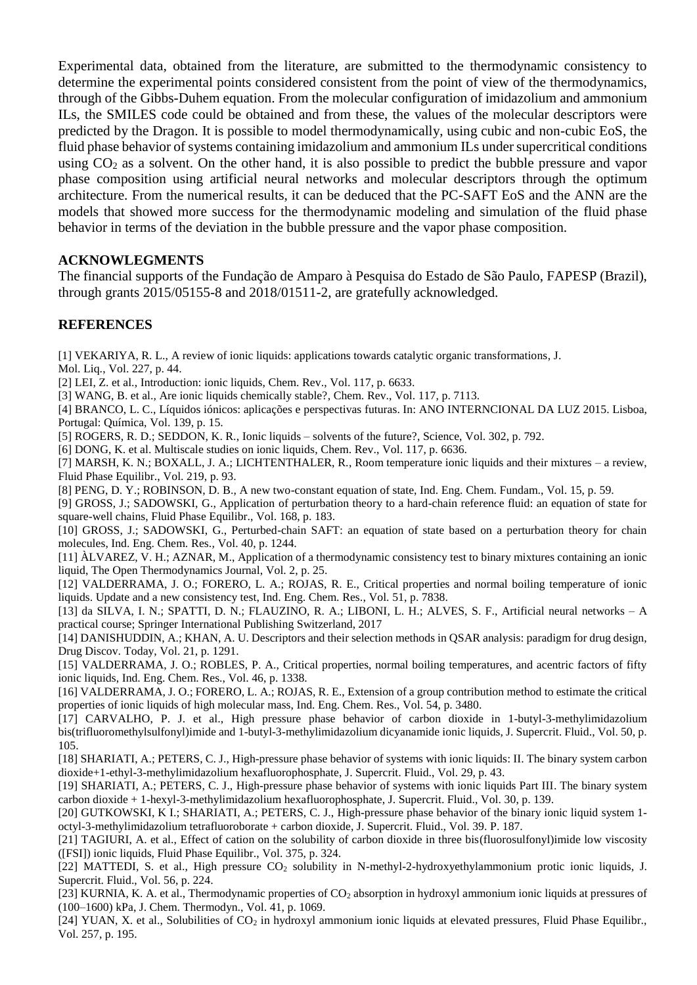Experimental data, obtained from the literature, are submitted to the thermodynamic consistency to determine the experimental points considered consistent from the point of view of the thermodynamics, through of the Gibbs-Duhem equation. From the molecular configuration of imidazolium and ammonium ILs, the SMILES code could be obtained and from these, the values of the molecular descriptors were predicted by the Dragon. It is possible to model thermodynamically, using cubic and non-cubic EoS, the fluid phase behavior of systems containing imidazolium and ammonium ILs under supercritical conditions using  $CO<sub>2</sub>$  as a solvent. On the other hand, it is also possible to predict the bubble pressure and vapor phase composition using artificial neural networks and molecular descriptors through the optimum architecture. From the numerical results, it can be deduced that the PC-SAFT EoS and the ANN are the models that showed more success for the thermodynamic modeling and simulation of the fluid phase behavior in terms of the deviation in the bubble pressure and the vapor phase composition.

# **ACKNOWLEGMENTS**

The financial supports of the Fundação de Amparo à Pesquisa do Estado de São Paulo, FAPESP (Brazil), through grants 2015/05155-8 and 2018/01511-2, are gratefully acknowledged.

# **REFERENCES**

[1] VEKARIYA, R. L., A review of ionic liquids: applications towards catalytic organic transformations, J.

Mol. Liq., Vol. 227, p. 44.

[2] LEI, Z. et al., Introduction: ionic liquids, Chem. Rev., Vol. 117, p. 6633.

[3] WANG, B. et al., Are ionic liquids chemically stable?, Chem. Rev., Vol. 117, p. 7113.

[4] BRANCO, L. C., Líquidos iónicos: aplicações e perspectivas futuras. In: ANO INTERNCIONAL DA LUZ 2015. Lisboa, Portugal: Química, Vol. 139, p. 15.

[5] ROGERS, R. D.; SEDDON, K. R., Ionic liquids – solvents of the future?, Science, Vol. 302, p. 792.

[6] DONG, K. et al. Multiscale studies on ionic liquids, Chem. Rev., Vol. 117, p. 6636.

[7] MARSH, K. N.; BOXALL, J. A.; LICHTENTHALER, R., Room temperature ionic liquids and their mixtures – a review, Fluid Phase Equilibr., Vol. 219, p. 93.

[8] PENG, D. Y.; ROBINSON, D. B., A new two-constant equation of state, Ind. Eng. Chem. Fundam., Vol. 15, p. 59.

[9] GROSS, J.; SADOWSKI, G., Application of perturbation theory to a hard-chain reference fluid: an equation of state for square-well chains, Fluid Phase Equilibr., Vol. 168, p. 183.

[10] GROSS, J.; SADOWSKI, G., Perturbed-chain SAFT: an equation of state based on a perturbation theory for chain molecules, Ind. Eng. Chem. Res.*,* Vol. 40, p. 1244.

[11] ÀLVAREZ, V. H.; AZNAR, M., Application of a thermodynamic consistency test to binary mixtures containing an ionic liquid, The Open Thermodynamics Journal, Vol. 2, p. 25.

[12] VALDERRAMA, J. O.; FORERO, L. A.; ROJAS, R. E., Critical properties and normal boiling temperature of ionic liquids. Update and a new consistency test, Ind. Eng. Chem. Res., Vol. 51, p. 7838.

[13] da SILVA, I. N.; SPATTI, D. N.; FLAUZINO, R. A.; LIBONI, L. H.; ALVES, S. F., Artificial neural networks – A practical course; Springer International Publishing Switzerland, 2017

[14] DANISHUDDIN, A.; KHAN, A. U. Descriptors and their selection methods in QSAR analysis: paradigm for drug design, Drug Discov. Today, Vol. 21, p. 1291.

[15] VALDERRAMA, J. O.; ROBLES, P. A., Critical properties, normal boiling temperatures, and acentric factors of fifty ionic liquids, Ind. Eng. Chem. Res., Vol. 46, p. 1338.

[16] VALDERRAMA, J. O.; FORERO, L. A.; ROJAS, R. E., Extension of a group contribution method to estimate the critical properties of ionic liquids of high molecular mass, Ind. Eng. Chem. Res., Vol. 54, p. 3480.

[17] CARVALHO, P. J. et al., High pressure phase behavior of carbon dioxide in 1-butyl-3-methylimidazolium bis(trifluoromethylsulfonyl)imide and 1-butyl-3-methylimidazolium dicyanamide ionic liquids, J. Supercrit. Fluid., Vol. 50, p. 105.

[18] SHARIATI, A.; PETERS, C. J., High-pressure phase behavior of systems with ionic liquids: II. The binary system carbon dioxide+1-ethyl-3-methylimidazolium hexafluorophosphate, J. Supercrit. Fluid., Vol. 29, p. 43.

[19] SHARIATI, A.; PETERS, C. J., High-pressure phase behavior of systems with ionic liquids Part III. The binary system carbon dioxide + 1-hexyl-3-methylimidazolium hexafluorophosphate, J. Supercrit. Fluid., Vol. 30, p. 139.

[20] GUTKOWSKI, K I.; SHARIATI, A.; PETERS, C. J., High-pressure phase behavior of the binary ionic liquid system 1octyl-3-methylimidazolium tetrafluoroborate + carbon dioxide, J. Supercrit. Fluid., Vol. 39. P. 187.

[21] TAGIURI, A. et al., Effect of cation on the solubility of carbon dioxide in three bis(fluorosulfonyl)imide low viscosity ([FSI]) ionic liquids, Fluid Phase Equilibr., Vol. 375, p. 324.

[22] MATTEDI, S. et al., High pressure CO<sub>2</sub> solubility in N-methyl-2-hydroxyethylammonium protic ionic liquids, J. Supercrit. Fluid., Vol. 56, p. 224.

[23] KURNIA, K. A. et al., Thermodynamic properties of CO<sub>2</sub> absorption in hydroxyl ammonium ionic liquids at pressures of (100–1600) kPa, J. Chem. Thermodyn., Vol. 41, p. 1069.

[24] YUAN, X. et al., Solubilities of CO<sub>2</sub> in hydroxyl ammonium ionic liquids at elevated pressures, Fluid Phase Equilibr., Vol. 257, p. 195.